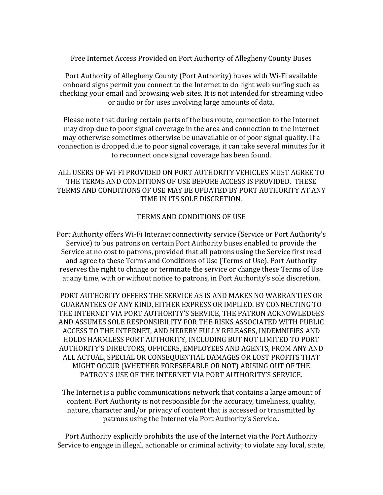Free Internet Access Provided on Port Authority of Allegheny County Buses

Port Authority of Allegheny County (Port Authority) buses with Wi-Fi available onboard signs permit you connect to the Internet to do light web surfing such as checking your email and browsing web sites. It is not intended for streaming video or audio or for uses involving large amounts of data.

Please note that during certain parts of the bus route, connection to the Internet may drop due to poor signal coverage in the area and connection to the Internet may otherwise sometimes otherwise be unavailable or of poor signal quality. If a connection is dropped due to poor signal coverage, it can take several minutes for it to reconnect once signal coverage has been found.

ALL USERS OF WI-FI PROVIDED ON PORT AUTHORITY VEHICLES MUST AGREE TO THE TERMS AND CONDITIONS OF USE BEFORE ACCESS IS PROVIDED. THESE TERMS AND CONDITIONS OF USE MAY BE UPDATED BY PORT AUTHORITY AT ANY TIME IN ITS SOLE DISCRETION.

## TERMS AND CONDITIONS OF USE

Port Authority offers Wi-Fi Internet connectivity service (Service or Port Authority's Service) to bus patrons on certain Port Authority buses enabled to provide the Service at no cost to patrons, provided that all patrons using the Service first read and agree to these Terms and Conditions of Use (Terms of Use). Port Authority reserves the right to change or terminate the service or change these Terms of Use at any time, with or without notice to patrons, in Port Authority's sole discretion.

PORT AUTHORITY OFFERS THE SERVICE AS IS AND MAKES NO WARRANTIES OR GUARANTEES OF ANY KIND, EITHER EXPRESS OR IMPLIED. BY CONNECTING TO THE INTERNET VIA PORT AUTHORITY'S SERVICE, THE PATRON ACKNOWLEDGES AND ASSUMES SOLE RESPONSIBILITY FOR THE RISKS ASSOCIATED WITH PUBLIC ACCESS TO THE INTERNET, AND HEREBY FULLY RELEASES, INDEMNIFIES AND HOLDS HARMLESS PORT AUTHORITY, INCLUDING BUT NOT LIMITED TO PORT AUTHORITY'S DIRECTORS, OFFICERS, EMPLOYEES AND AGENTS, FROM ANY AND ALL ACTUAL, SPECIAL OR CONSEQUENTIAL DAMAGES OR LOST PROFITS THAT MIGHT OCCUR (WHETHER FORESEEABLE OR NOT) ARISING OUT OF THE PATRON'S USE OF THE INTERNET VIA PORT AUTHORITY'S SERVICE.

The Internet is a public communications network that contains a large amount of content. Port Authority is not responsible for the accuracy, timeliness, quality, nature, character and/or privacy of content that is accessed or transmitted by patrons using the Internet via Port Authority's Service..

Port Authority explicitly prohibits the use of the Internet via the Port Authority Service to engage in illegal, actionable or criminal activity; to violate any local, state,